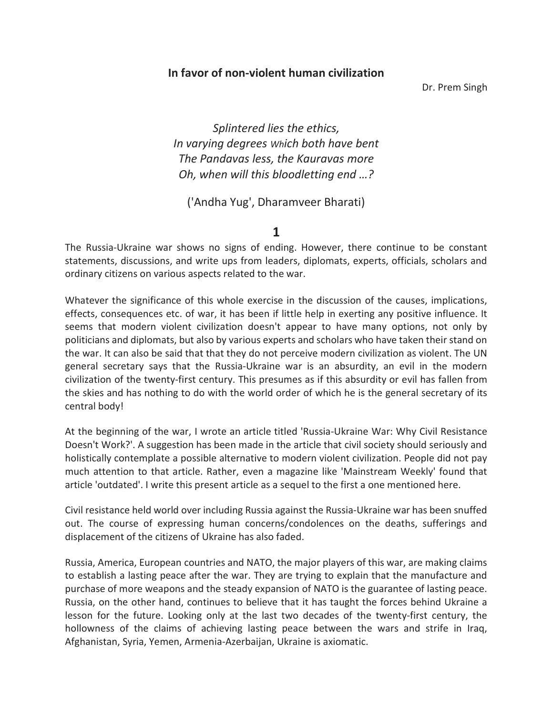## In favor of non-violent human civilization

Dr. Prem Singh

Splintered lies the ethics, In varying degrees Which both have bent The Pandavas less, the Kauravas more Oh, when will this bloodletting end …?

('Andha Yug', Dharamveer Bharati)

1

The Russia-Ukraine war shows no signs of ending. However, there continue to be constant statements, discussions, and write ups from leaders, diplomats, experts, officials, scholars and ordinary citizens on various aspects related to the war.

Whatever the significance of this whole exercise in the discussion of the causes, implications, effects, consequences etc. of war, it has been if little help in exerting any positive influence. It seems that modern violent civilization doesn't appear to have many options, not only by politicians and diplomats, but also by various experts and scholars who have taken their stand on the war. It can also be said that that they do not perceive modern civilization as violent. The UN general secretary says that the Russia-Ukraine war is an absurdity, an evil in the modern civilization of the twenty-first century. This presumes as if this absurdity or evil has fallen from the skies and has nothing to do with the world order of which he is the general secretary of its central body!

At the beginning of the war, I wrote an article titled 'Russia-Ukraine War: Why Civil Resistance Doesn't Work?'. A suggestion has been made in the article that civil society should seriously and holistically contemplate a possible alternative to modern violent civilization. People did not pay much attention to that article. Rather, even a magazine like 'Mainstream Weekly' found that article 'outdated'. I write this present article as a sequel to the first a one mentioned here.

Civil resistance held world over including Russia against the Russia-Ukraine war has been snuffed out. The course of expressing human concerns/condolences on the deaths, sufferings and displacement of the citizens of Ukraine has also faded.

Russia, America, European countries and NATO, the major players of this war, are making claims to establish a lasting peace after the war. They are trying to explain that the manufacture and purchase of more weapons and the steady expansion of NATO is the guarantee of lasting peace. Russia, on the other hand, continues to believe that it has taught the forces behind Ukraine a lesson for the future. Looking only at the last two decades of the twenty-first century, the hollowness of the claims of achieving lasting peace between the wars and strife in Iraq, Afghanistan, Syria, Yemen, Armenia-Azerbaijan, Ukraine is axiomatic.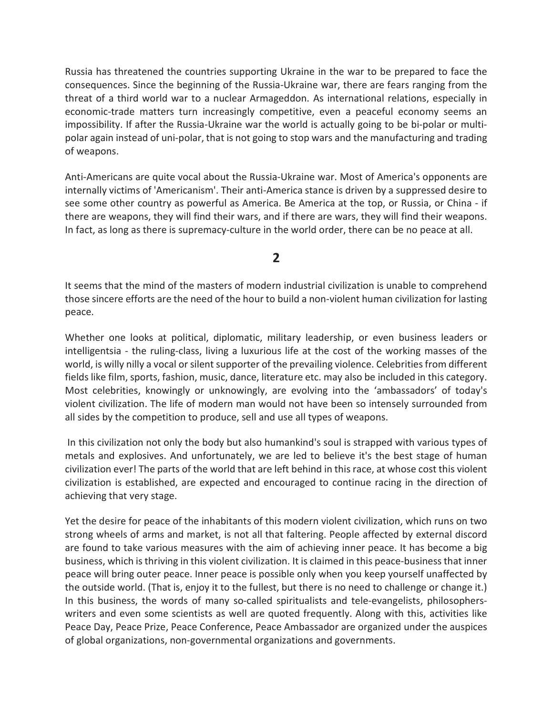Russia has threatened the countries supporting Ukraine in the war to be prepared to face the consequences. Since the beginning of the Russia-Ukraine war, there are fears ranging from the threat of a third world war to a nuclear Armageddon. As international relations, especially in economic-trade matters turn increasingly competitive, even a peaceful economy seems an impossibility. If after the Russia-Ukraine war the world is actually going to be bi-polar or multipolar again instead of uni-polar, that is not going to stop wars and the manufacturing and trading of weapons.

Anti-Americans are quite vocal about the Russia-Ukraine war. Most of America's opponents are internally victims of 'Americanism'. Their anti-America stance is driven by a suppressed desire to see some other country as powerful as America. Be America at the top, or Russia, or China - if there are weapons, they will find their wars, and if there are wars, they will find their weapons. In fact, as long as there is supremacy-culture in the world order, there can be no peace at all.

## 2

It seems that the mind of the masters of modern industrial civilization is unable to comprehend those sincere efforts are the need of the hour to build a non-violent human civilization for lasting peace.

Whether one looks at political, diplomatic, military leadership, or even business leaders or intelligentsia - the ruling-class, living a luxurious life at the cost of the working masses of the world, is willy nilly a vocal or silent supporter of the prevailing violence. Celebrities from different fields like film, sports, fashion, music, dance, literature etc. may also be included in this category. Most celebrities, knowingly or unknowingly, are evolving into the 'ambassadors' of today's violent civilization. The life of modern man would not have been so intensely surrounded from all sides by the competition to produce, sell and use all types of weapons.

 In this civilization not only the body but also humankind's soul is strapped with various types of metals and explosives. And unfortunately, we are led to believe it's the best stage of human civilization ever! The parts of the world that are left behind in this race, at whose cost this violent civilization is established, are expected and encouraged to continue racing in the direction of achieving that very stage.

Yet the desire for peace of the inhabitants of this modern violent civilization, which runs on two strong wheels of arms and market, is not all that faltering. People affected by external discord are found to take various measures with the aim of achieving inner peace. It has become a big business, which is thriving in this violent civilization. It is claimed in this peace-business that inner peace will bring outer peace. Inner peace is possible only when you keep yourself unaffected by the outside world. (That is, enjoy it to the fullest, but there is no need to challenge or change it.) In this business, the words of many so-called spiritualists and tele-evangelists, philosopherswriters and even some scientists as well are quoted frequently. Along with this, activities like Peace Day, Peace Prize, Peace Conference, Peace Ambassador are organized under the auspices of global organizations, non-governmental organizations and governments.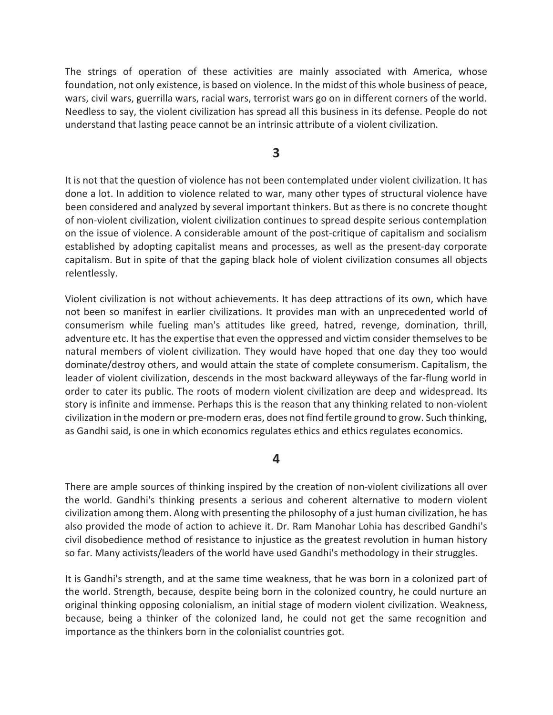The strings of operation of these activities are mainly associated with America, whose foundation, not only existence, is based on violence. In the midst of this whole business of peace, wars, civil wars, guerrilla wars, racial wars, terrorist wars go on in different corners of the world. Needless to say, the violent civilization has spread all this business in its defense. People do not understand that lasting peace cannot be an intrinsic attribute of a violent civilization.

## 3

It is not that the question of violence has not been contemplated under violent civilization. It has done a lot. In addition to violence related to war, many other types of structural violence have been considered and analyzed by several important thinkers. But as there is no concrete thought of non-violent civilization, violent civilization continues to spread despite serious contemplation on the issue of violence. A considerable amount of the post-critique of capitalism and socialism established by adopting capitalist means and processes, as well as the present-day corporate capitalism. But in spite of that the gaping black hole of violent civilization consumes all objects relentlessly.

Violent civilization is not without achievements. It has deep attractions of its own, which have not been so manifest in earlier civilizations. It provides man with an unprecedented world of consumerism while fueling man's attitudes like greed, hatred, revenge, domination, thrill, adventure etc. It has the expertise that even the oppressed and victim consider themselves to be natural members of violent civilization. They would have hoped that one day they too would dominate/destroy others, and would attain the state of complete consumerism. Capitalism, the leader of violent civilization, descends in the most backward alleyways of the far-flung world in order to cater its public. The roots of modern violent civilization are deep and widespread. Its story is infinite and immense. Perhaps this is the reason that any thinking related to non-violent civilization in the modern or pre-modern eras, does not find fertile ground to grow. Such thinking, as Gandhi said, is one in which economics regulates ethics and ethics regulates economics.

## 4

There are ample sources of thinking inspired by the creation of non-violent civilizations all over the world. Gandhi's thinking presents a serious and coherent alternative to modern violent civilization among them. Along with presenting the philosophy of a just human civilization, he has also provided the mode of action to achieve it. Dr. Ram Manohar Lohia has described Gandhi's civil disobedience method of resistance to injustice as the greatest revolution in human history so far. Many activists/leaders of the world have used Gandhi's methodology in their struggles.

It is Gandhi's strength, and at the same time weakness, that he was born in a colonized part of the world. Strength, because, despite being born in the colonized country, he could nurture an original thinking opposing colonialism, an initial stage of modern violent civilization. Weakness, because, being a thinker of the colonized land, he could not get the same recognition and importance as the thinkers born in the colonialist countries got.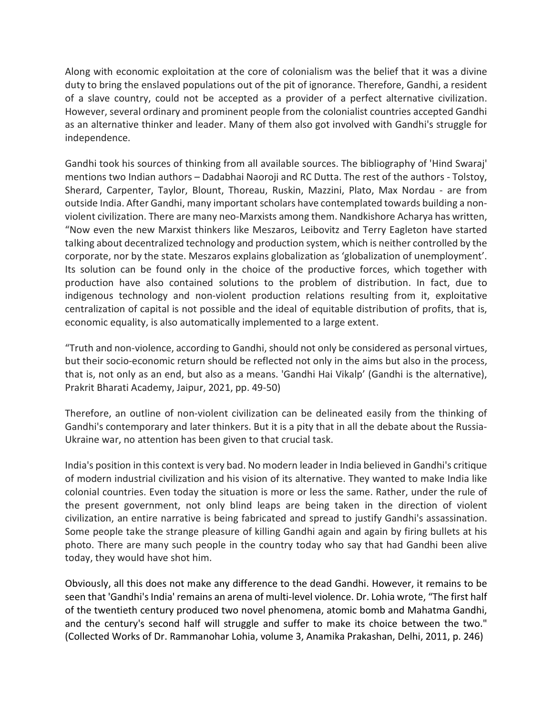Along with economic exploitation at the core of colonialism was the belief that it was a divine duty to bring the enslaved populations out of the pit of ignorance. Therefore, Gandhi, a resident of a slave country, could not be accepted as a provider of a perfect alternative civilization. However, several ordinary and prominent people from the colonialist countries accepted Gandhi as an alternative thinker and leader. Many of them also got involved with Gandhi's struggle for independence.

Gandhi took his sources of thinking from all available sources. The bibliography of 'Hind Swaraj' mentions two Indian authors – Dadabhai Naoroji and RC Dutta. The rest of the authors - Tolstoy, Sherard, Carpenter, Taylor, Blount, Thoreau, Ruskin, Mazzini, Plato, Max Nordau - are from outside India. After Gandhi, many important scholars have contemplated towards building a nonviolent civilization. There are many neo-Marxists among them. Nandkishore Acharya has written, "Now even the new Marxist thinkers like Meszaros, Leibovitz and Terry Eagleton have started talking about decentralized technology and production system, which is neither controlled by the corporate, nor by the state. Meszaros explains globalization as 'globalization of unemployment'. Its solution can be found only in the choice of the productive forces, which together with production have also contained solutions to the problem of distribution. In fact, due to indigenous technology and non-violent production relations resulting from it, exploitative centralization of capital is not possible and the ideal of equitable distribution of profits, that is, economic equality, is also automatically implemented to a large extent.

"Truth and non-violence, according to Gandhi, should not only be considered as personal virtues, but their socio-economic return should be reflected not only in the aims but also in the process, that is, not only as an end, but also as a means. 'Gandhi Hai Vikalp' (Gandhi is the alternative), Prakrit Bharati Academy, Jaipur, 2021, pp. 49-50)

Therefore, an outline of non-violent civilization can be delineated easily from the thinking of Gandhi's contemporary and later thinkers. But it is a pity that in all the debate about the Russia-Ukraine war, no attention has been given to that crucial task.

India's position in this context is very bad. No modern leader in India believed in Gandhi's critique of modern industrial civilization and his vision of its alternative. They wanted to make India like colonial countries. Even today the situation is more or less the same. Rather, under the rule of the present government, not only blind leaps are being taken in the direction of violent civilization, an entire narrative is being fabricated and spread to justify Gandhi's assassination. Some people take the strange pleasure of killing Gandhi again and again by firing bullets at his photo. There are many such people in the country today who say that had Gandhi been alive today, they would have shot him.

Obviously, all this does not make any difference to the dead Gandhi. However, it remains to be seen that 'Gandhi's India' remains an arena of multi-level violence. Dr. Lohia wrote, "The first half of the twentieth century produced two novel phenomena, atomic bomb and Mahatma Gandhi, and the century's second half will struggle and suffer to make its choice between the two." (Collected Works of Dr. Rammanohar Lohia, volume 3, Anamika Prakashan, Delhi, 2011, p. 246)